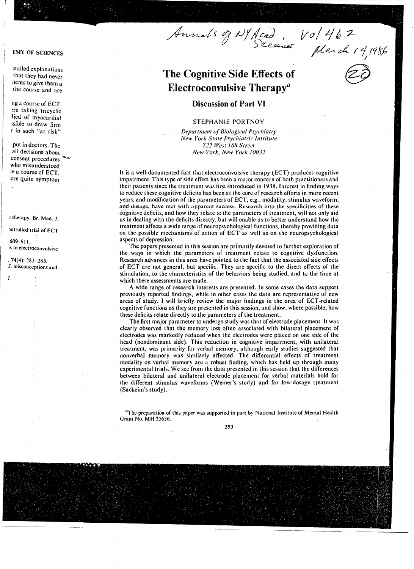Annals og NY Acad, VO 1462

# **The Cognitive Side Effects of Electroconvulsive Therapya**

**Discussion of Part VI** 

### STEPHANIE PORTNOY

*Department of Biological Psychiatry New York Stute Psychiatric Institute 722 West 168 Street New York. New York* f0032

It is a well-documented fact that electroconvulsive therapy (ECT) produces cognitive impairment. This type of side effect has been a major concern of both practitioners and their patients since the treatment was first introduced in 1938. Interest in finding ways to reduce these cognitive deficits has been at the core of research efforts in more recent years, and modification of the parameters of ECT, e.g., modality, stimulus waveform, and dosage, have met with apparent success. Research into the specificities of these cognitive deficits, and how thcy relate to the parameters of treatment, will not only aid us in dealing with the deficits directly, but will enable us to better understand how the treatment affects a wide range of neuropsychological functions, thereby providing data on the possible mechanisms of action of ECT as well as on the neuropsychological aspects of depression.

The papers presented in this session are primarily devoted to further exploration of the ways in which the parameters of treatment relate to cognitive dysfunction. Research advances in this area have pointed to the fact that the associated side effects of ECT are not general, but specific. They are specific to the direct effects of the stimulation, to the characteristics of the behaviors being studied, and to the time at which these assessments are made.

A wide range of research interests are presented. In some cases the data support previously reported findings, while in other cases the data are representative of new areas of study.. I will briefly review the major findings in the area of ECT-reiated cognitive functions as they are presented in this session, and show. where possible, how these deficits relate directly to the parameters of the treatment.

The first major parameter to undergo study was that of electrode placement. It was clearly observed that the memory loss often associated with bilateral placement of electrodes was markedly reduced when the electrodes were placed on one side of the head {nondominant side). This reduction in cognitive impairment, with unilateral treatment, was primarily for verbal memory, although early studies suggested that nonverbal memory was similarly affected. The differential effects of treatment modality on verbal memory are a robust finding, which has held up through many experimental trials. We see from the data presented in this session that the differences between bilateral and unilateral electrode placement for verbal materials hold for the different stimulus waveforms (Weiner's study) and for low-dosage treatment (Sackeim's study).

 ${}^{a}$ The preparation of this paper was supported in part by National Institute of Mental Health Grant No. MH 35636.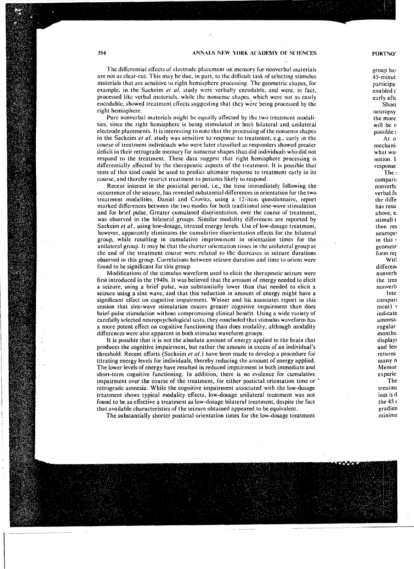The differential effects of electrode placement on memory for nonverbal materials are not as clear-cut. This may be due, in part, to the difficult task of selecting stimulus materials that are sensitive to right hemisphere processing. The geometric shapes, for example, in the Sackelm *et al.* study were verbally encodable, and were, in fact, processed like verbal materials, while the nonsense shapes, which were not as easily encodable, showed treatment effects suggesting that they were being processed by the right hemisphere.

Pure nonverbal materials might be equally affected by the two treatment modalties, since the right hemisphere is being stimulated in both bilateral and unilateral electrode placements. It is interesting to note that the processing of the nonsense shapes in the Sackeim *et al.* study was sensitive to response to treatment, e.g., early in the course of treatment individuals who were later classified as responders showed greater deficit in their retrograde memory for nonsense shapes than did individuals who did not respond to the treatment. These data suggest that right hemisphere processing is differentially affected by the therapeutic aspects of the treatment. It is possible that tests of this kind could be used to predict ultimate response to treatment early in its course, and thereby restrict treatment to patients likely to respond.

Recent interest in the postictal period, i.e., the time immediately following the occurrence of the seizure, has revealed substantial differences in orientation for the two treatment modalities. Daniel and Crovitz, using a 12-item questionnaire, report marked differences between the two modes for both traditional sine-wave stimulation and for brief pulse. Greater cumulated disorientation, over the course of treatment, was observed in the bilateral groups. Similar modality differences are reported by Sackeim *et al.*, using low-dosage, titrated energy levels. Use of low-dosage treatment, however, apparently eliminates the cumulative disorientation effects for the bilateral group, while resulting in cumulative improvement in orientation times for the unilateral group. It may be that the shorter orientation times in the unilateral group at the end of the treatment course were related to the decreases in seizure durations observed in this group. Correlations between seizure duration and time to orient were found to be significant for this group.

Modifications of the stimulus waveform used to elicit the therapeutic seizure were first introduced in the 1940s. It was believed that the amount of energy needed to elicit a seizure, using a brief pulse, was substantially lower than that needed to elicit a seizure using a sine wave, and that this reduction in amount of energy might have a significant effect on cognitive impairment. Weiner and his associates report in this session that sine-wave stimulation causes greater cognitive impairment than does brief-pulse stimulation without compromising clinical benefit. Using a wide variety of carefully selected neuropsychological tests, they concluded that stimulus waveform has a more potent effect on cognitive functioning than does modality, although modality differences were also apparent in both stimulus waveform groups.

It is possible that it is not the absolute amount of energy applied to the brain that produces the cognitive impairment, but rather the amount in excess of an individual's threshold. Recent efforts (Sackeim *et al.*) have been made to develop a procedure for titrating energy levels for individuals, thereby reducing the amount of energy applied. The lower levels of energy have resulted in reduced impairment in both immediate and short-term cognitive functioning. In addition, there is no evidence for cumulative impairment over the course of the treatment, for either postictal orientation time or ' retrograde amnesia. While the cognitive impairment associated with the low-dosage treatment shows typical modality effects, low-dosage unilateral treatment was not found to be as effective a treatment as low-dosage bilateral treatment, despite the fact that available characteristies of the seizure obtained appeared to be equivalent.

The substantially shorter postictal orientation times for the low-dosage treatment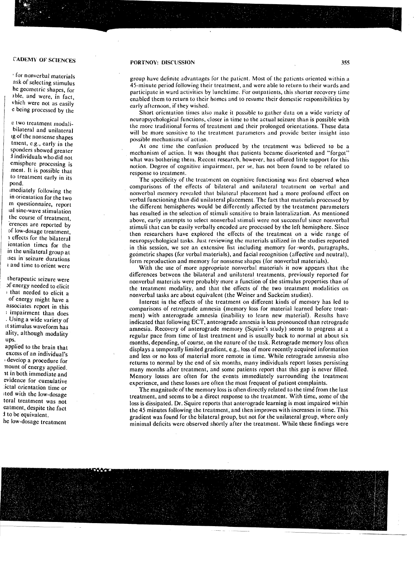### PORTNOY: DISCUSSION 355

group have definite advantages for the patient. Most of the patients oriented within a 45-minute period following their treatment, and were able to return to their wards and participate in ward activities by lunchtime. For outpatients, this shorter recovery time enabled them to return to their homes and to resume their domestic responsibilities by early afternoon, if they wished.

Short orientation times also make it possible to gather data on a wide variety of neuropsychological functions, closer in time to the actual seizure than is possible with the more traditional forms of treatment and their prolonged orientations. These data will be more sensitive to the treatment parametcrs and provide better insight into possible mechanisms of action.

At one time the confusion produced by the treatment was believed to be a mechanism of action. It was thought that patients became disoriented and "forgot" what was bothering them. Recent research, however, has offered little support for this notion. Degree of cognitive impairment, per se, has not been found to be related to response to treatment.

The specificity of the treatment on cognitive functioning was first observed when comparisons of the elfects of bilateral and unilateral treatment on verbal and nonverbal memory revealed that bilateral placement had a more profound etTect on verbal functioning than did unilateral placement. The fact that materials processed by the different hemispheres would be differently affected by the treatment parameters has resulted in the selection of stimuli sensitive to brain lateralization. As mentioned above, early attempts to select nonverbal stimuli were not successful since nonverbal stimuli that can be easily verbally encoded are processed by the left hemisphere. Since then researchers have explored the effects of the treatment on a wide range of neuropsychological tasks. Just reviewing the materials utilized in the studies reported in this session, we see an extensive list including memory for·words. paragraphs. geometric shapes (for verbal materials), and facial recognition (affective and neutral), form reproduction and memory for nonsense shapes (for nonverbal materials).

With the use of more appropriate nonverbal materials it now appears that the differences between the bilateral. and unilateral treatments, previously reported for nonverbal materials were probably more a function of the stimulus properties than of the treatment modality, and that the effects of the two treatment modalities on nonverbal tasks are about equivalent (the Weiner and Sackeim studies).

Interest in the effects of the treatment on different kinds of memory has led to comparisons of retrograde amnesia (memory loss for material learned before treatment) with anterograde amnesia (inability to learn new material). Results have indicated that following ECT, anterograde amnesia is less pronounced than retrograde amnesia. Recovery of anterograde memory (Squire's study) seems to progress at a regular pace from time of last treatment and is usually back to normal at about six months, depending, of course, on the nature of the task. Retrograde memory loss often displays a temporally limited gradient, e.g., loss of more recently acquired information and less or no loss of material more remote in time. While retrograde amnesia also returns to normal by the end of six months, many individuals report losses persisting many months after treatment, and some patients report that this gap is never filled. Memory losses are often for the events immediately surrounding the treatment experience, and these losses are often the most frequent of patient complaints,

The magnitude of the memory loss is often directly related to the time from the last treatment, and seems to be a direct response to the treatment. With time, some of the loss is dissipated. Dr. Squire reports that anterograde learning is most impaired within the 45 minutes following the treatment, and then improves with increases in time. This gradient was found for the bilateral group, but not for the unilateral group, where only minimal deficits were observed shortly after the treatment. While these findings were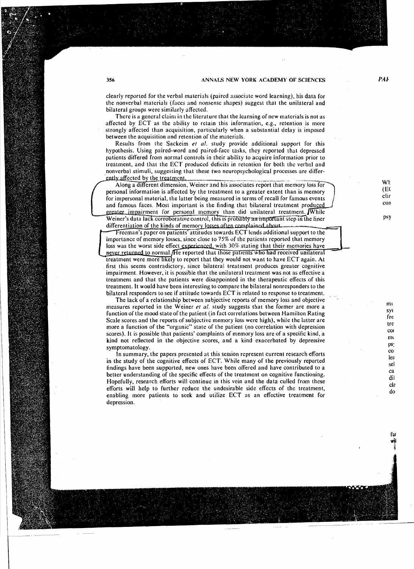clearly reported for the verbal materials (paired associate word learning), his data for the nonverbal materials (faces and nonsense shapes) suggest that the unilateral and bilateral groups were similarly affected.

There is a general claim in the literature that the learning of new materials is not as affected by ECT as the ability to retain this information, e.g., retention is more strongly affected than acquisition, particularly when a substantial delay is imposed between the acquisition and retention of the materials.

Results from the Sackeim *et al.* study provide additional support for this hypothesis. Using paired-word and paired-face tasks, they reported that depressed patients ditfered from normal controls in their ability to acquire information prior to treatment, and that the ECT produccd deficits in retention for both the verbal and nonverbal stimuli, suggesting that these two neuropsychological processes are differently affected by the treatment.

Along a different dimension, Weiner and his associates report that memory loss for personal information is affected by the treatment to a greater extent than is memory for impersonal material, the latter being measured in terms of recall for famous events and famous faces. Most important is the finding that bilateral treatment produced greater impairment for personal memory than did unilateral treatment. While<br>Weiner's data lack corroborative control, this is probably an important step in the finer<br>differentiation of the kinds of memory losses often comp Weiner's data lack corroborative control, this is probably an important step in the finer

Freeman's paper on patients' attitudes towards ECT lends additional support to the importance of memory losses. since close to 75% of the patients reported that memory loss was the worst side effect experienced, with 30% stating that their memories have never returned to normal. He reported that those patients who had received unilateral treatment were more likely to report that they would not want to have ECT again. At

first this seems contradictory. since bilateral treatment produces greater cognitive impairment. However, it is possible that the unilateral treatment was not as effective a treatment and that the patients were disappointed in the therapeutic effects of this treatment. It would have been interesting to compare the bilateral nonresponders to the bilateral responders to see if attitude towards ECT is related to response to treatment,

The lack of a relationship between subjective reports of memory loss and objective measures reported in the Weiner *et al.* study suggests that the former are more a function of the mood state of the patient (in fact correlations between Hamilton Rating Scale scores and the reports of subjective memory loss were high), while the latter are more a function of the "organic" state of the patient (no correlation with depression scores). It is possible that patients' complaints of memory loss are of a specific kind, a kind not reflected in the objective scores, and a kind exacerbated by depressive symptomatology.

In summary, the papers presented at this session represent current research efforts in the study of the cognitive effects of ECT. While many of the previously reported findings have been supported, new ones have been offered and have contributed to a better understanding of the specific effects of the treatment on cognitive functioning, Hopefully, research efforts will continue in this vein and the data culled from these efforts will help to further reduce the undesirable side effects of the treatment, enabling more patients to seek and utilize ECT as an effective treatment for depression.